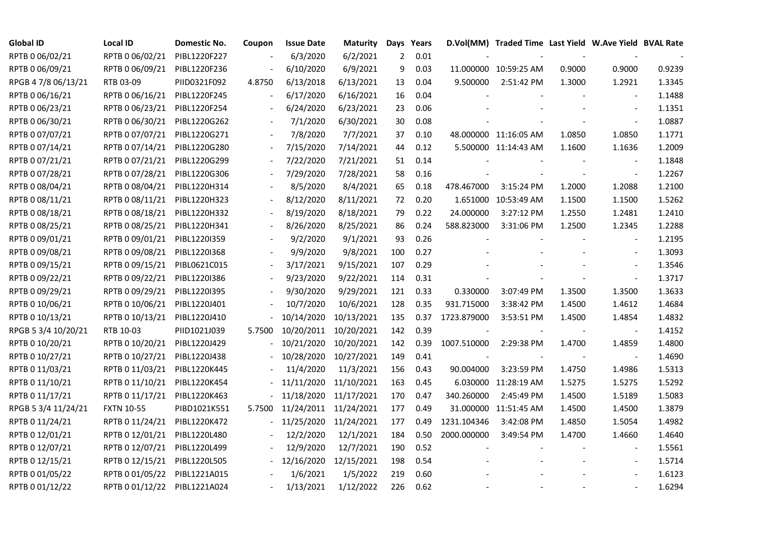| <b>Global ID</b>    | <b>Local ID</b>   | Domestic No. | Coupon                   | <b>Issue Date</b> | <b>Maturity</b> |                | Days Years |             | D.Vol(MM) Traded Time Last Yield W.Ave Yield BVAL Rate |        |                          |        |
|---------------------|-------------------|--------------|--------------------------|-------------------|-----------------|----------------|------------|-------------|--------------------------------------------------------|--------|--------------------------|--------|
| RPTB 0 06/02/21     | RPTB 0 06/02/21   | PIBL1220F227 |                          | 6/3/2020          | 6/2/2021        | $\overline{2}$ | 0.01       |             |                                                        |        |                          |        |
| RPTB 0 06/09/21     | RPTB 0 06/09/21   | PIBL1220F236 |                          | 6/10/2020         | 6/9/2021        | 9              | 0.03       |             | 11.000000 10:59:25 AM                                  | 0.9000 | 0.9000                   | 0.9239 |
| RPGB 4 7/8 06/13/21 | RTB 03-09         | PIID0321F092 | 4.8750                   | 6/13/2018         | 6/13/2021       | 13             | 0.04       | 9.500000    | 2:51:42 PM                                             | 1.3000 | 1.2921                   | 1.3345 |
| RPTB 0 06/16/21     | RPTB 0 06/16/21   | PIBL1220F245 | $\frac{1}{2}$            | 6/17/2020         | 6/16/2021       | 16             | 0.04       |             |                                                        |        | $\blacksquare$           | 1.1488 |
| RPTB 0 06/23/21     | RPTB 0 06/23/21   | PIBL1220F254 |                          | 6/24/2020         | 6/23/2021       | 23             | 0.06       |             |                                                        |        |                          | 1.1351 |
| RPTB 0 06/30/21     | RPTB 0 06/30/21   | PIBL1220G262 |                          | 7/1/2020          | 6/30/2021       | 30             | 0.08       |             |                                                        |        | $\blacksquare$           | 1.0887 |
| RPTB 0 07/07/21     | RPTB 0 07/07/21   | PIBL1220G271 |                          | 7/8/2020          | 7/7/2021        | 37             | 0.10       |             | 48.000000 11:16:05 AM                                  | 1.0850 | 1.0850                   | 1.1771 |
| RPTB 0 07/14/21     | RPTB 0 07/14/21   | PIBL1220G280 |                          | 7/15/2020         | 7/14/2021       | 44             | 0.12       |             | 5.500000 11:14:43 AM                                   | 1.1600 | 1.1636                   | 1.2009 |
| RPTB 0 07/21/21     | RPTB 0 07/21/21   | PIBL1220G299 |                          | 7/22/2020         | 7/21/2021       | 51             | 0.14       |             |                                                        |        |                          | 1.1848 |
| RPTB 0 07/28/21     | RPTB 0 07/28/21   | PIBL1220G306 |                          | 7/29/2020         | 7/28/2021       | 58             | 0.16       |             |                                                        |        |                          | 1.2267 |
| RPTB 0 08/04/21     | RPTB 0 08/04/21   | PIBL1220H314 |                          | 8/5/2020          | 8/4/2021        | 65             | 0.18       | 478.467000  | 3:15:24 PM                                             | 1.2000 | 1.2088                   | 1.2100 |
| RPTB 0 08/11/21     | RPTB 0 08/11/21   | PIBL1220H323 |                          | 8/12/2020         | 8/11/2021       | 72             | 0.20       | 1.651000    | 10:53:49 AM                                            | 1.1500 | 1.1500                   | 1.5262 |
| RPTB 0 08/18/21     | RPTB 0 08/18/21   | PIBL1220H332 |                          | 8/19/2020         | 8/18/2021       | 79             | 0.22       | 24.000000   | 3:27:12 PM                                             | 1.2550 | 1.2481                   | 1.2410 |
| RPTB 0 08/25/21     | RPTB 0 08/25/21   | PIBL1220H341 |                          | 8/26/2020         | 8/25/2021       | 86             | 0.24       | 588.823000  | 3:31:06 PM                                             | 1.2500 | 1.2345                   | 1.2288 |
| RPTB 0 09/01/21     | RPTB 0 09/01/21   | PIBL1220I359 |                          | 9/2/2020          | 9/1/2021        | 93             | 0.26       |             |                                                        |        |                          | 1.2195 |
| RPTB 0 09/08/21     | RPTB 0 09/08/21   | PIBL1220I368 |                          | 9/9/2020          | 9/8/2021        | 100            | 0.27       |             |                                                        |        |                          | 1.3093 |
| RPTB 0 09/15/21     | RPTB 0 09/15/21   | PIBL0621C015 |                          | 3/17/2021         | 9/15/2021       | 107            | 0.29       |             |                                                        |        |                          | 1.3546 |
| RPTB 0 09/22/21     | RPTB 0 09/22/21   | PIBL1220I386 | $\overline{\phantom{a}}$ | 9/23/2020         | 9/22/2021       | 114            | 0.31       |             |                                                        |        | $\blacksquare$           | 1.3717 |
| RPTB 0 09/29/21     | RPTB 0 09/29/21   | PIBL1220I395 |                          | 9/30/2020         | 9/29/2021       | 121            | 0.33       | 0.330000    | 3:07:49 PM                                             | 1.3500 | 1.3500                   | 1.3633 |
| RPTB 0 10/06/21     | RPTB 0 10/06/21   | PIBL1220J401 |                          | 10/7/2020         | 10/6/2021       | 128            | 0.35       | 931.715000  | 3:38:42 PM                                             | 1.4500 | 1.4612                   | 1.4684 |
| RPTB 0 10/13/21     | RPTB 0 10/13/21   | PIBL1220J410 |                          | 10/14/2020        | 10/13/2021      | 135            | 0.37       | 1723.879000 | 3:53:51 PM                                             | 1.4500 | 1.4854                   | 1.4832 |
| RPGB 5 3/4 10/20/21 | RTB 10-03         | PIID1021J039 | 5.7500                   | 10/20/2011        | 10/20/2021      | 142            | 0.39       |             |                                                        |        | $\overline{\phantom{a}}$ | 1.4152 |
| RPTB 0 10/20/21     | RPTB 0 10/20/21   | PIBL1220J429 |                          | 10/21/2020        | 10/20/2021      | 142            | 0.39       | 1007.510000 | 2:29:38 PM                                             | 1.4700 | 1.4859                   | 1.4800 |
| RPTB 0 10/27/21     | RPTB 0 10/27/21   | PIBL1220J438 |                          | 10/28/2020        | 10/27/2021      | 149            | 0.41       |             |                                                        |        |                          | 1.4690 |
| RPTB 0 11/03/21     | RPTB 0 11/03/21   | PIBL1220K445 |                          | 11/4/2020         | 11/3/2021       | 156            | 0.43       | 90.004000   | 3:23:59 PM                                             | 1.4750 | 1.4986                   | 1.5313 |
| RPTB 0 11/10/21     | RPTB 0 11/10/21   | PIBL1220K454 |                          | 11/11/2020        | 11/10/2021      | 163            | 0.45       |             | 6.030000 11:28:19 AM                                   | 1.5275 | 1.5275                   | 1.5292 |
| RPTB 0 11/17/21     | RPTB 0 11/17/21   | PIBL1220K463 |                          | 11/18/2020        | 11/17/2021      | 170            | 0.47       | 340.260000  | 2:45:49 PM                                             | 1.4500 | 1.5189                   | 1.5083 |
| RPGB 5 3/4 11/24/21 | <b>FXTN 10-55</b> | PIBD1021K551 | 5.7500                   | 11/24/2011        | 11/24/2021      | 177            | 0.49       | 31.000000   | 11:51:45 AM                                            | 1.4500 | 1.4500                   | 1.3879 |
| RPTB 0 11/24/21     | RPTB 0 11/24/21   | PIBL1220K472 |                          | 11/25/2020        | 11/24/2021      | 177            | 0.49       | 1231.104346 | 3:42:08 PM                                             | 1.4850 | 1.5054                   | 1.4982 |
| RPTB 0 12/01/21     | RPTB 0 12/01/21   | PIBL1220L480 |                          | 12/2/2020         | 12/1/2021       | 184            | 0.50       | 2000.000000 | 3:49:54 PM                                             | 1.4700 | 1.4660                   | 1.4640 |
| RPTB 0 12/07/21     | RPTB 0 12/07/21   | PIBL1220L499 |                          | 12/9/2020         | 12/7/2021       | 190            | 0.52       |             |                                                        |        |                          | 1.5561 |
| RPTB 0 12/15/21     | RPTB 0 12/15/21   | PIBL1220L505 |                          | 12/16/2020        | 12/15/2021      | 198            | 0.54       |             |                                                        |        | $\blacksquare$           | 1.5714 |
| RPTB 0 01/05/22     | RPTB 0 01/05/22   | PIBL1221A015 |                          | 1/6/2021          | 1/5/2022        | 219            | 0.60       |             |                                                        |        |                          | 1.6123 |
| RPTB 0 01/12/22     | RPTB 0 01/12/22   | PIBL1221A024 |                          | 1/13/2021         | 1/12/2022       | 226            | 0.62       |             |                                                        |        |                          | 1.6294 |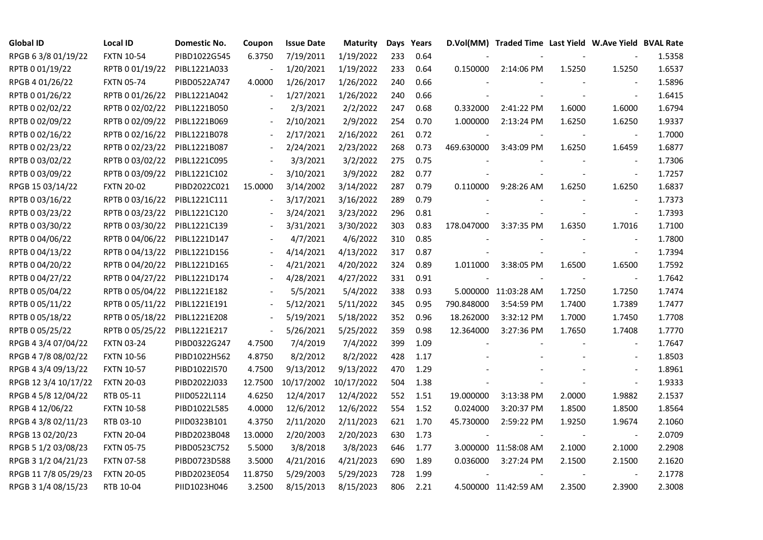| <b>Global ID</b>     | <b>Local ID</b>   | Domestic No. | Coupon                   | <b>Issue Date</b> | Maturity   |     | Days Years |            | D.Vol(MM) Traded Time Last Yield W.Ave Yield BVAL Rate |        |                          |        |
|----------------------|-------------------|--------------|--------------------------|-------------------|------------|-----|------------|------------|--------------------------------------------------------|--------|--------------------------|--------|
| RPGB 63/8 01/19/22   | <b>FXTN 10-54</b> | PIBD1022G545 | 6.3750                   | 7/19/2011         | 1/19/2022  | 233 | 0.64       |            |                                                        |        |                          | 1.5358 |
| RPTB 0 01/19/22      | RPTB 0 01/19/22   | PIBL1221A033 |                          | 1/20/2021         | 1/19/2022  | 233 | 0.64       | 0.150000   | 2:14:06 PM                                             | 1.5250 | 1.5250                   | 1.6537 |
| RPGB 4 01/26/22      | <b>FXTN 05-74</b> | PIBD0522A747 | 4.0000                   | 1/26/2017         | 1/26/2022  | 240 | 0.66       |            |                                                        |        |                          | 1.5896 |
| RPTB 0 01/26/22      | RPTB 0 01/26/22   | PIBL1221A042 | $\blacksquare$           | 1/27/2021         | 1/26/2022  | 240 | 0.66       |            |                                                        |        | $\blacksquare$           | 1.6415 |
| RPTB 0 02/02/22      | RPTB 0 02/02/22   | PIBL1221B050 |                          | 2/3/2021          | 2/2/2022   | 247 | 0.68       | 0.332000   | 2:41:22 PM                                             | 1.6000 | 1.6000                   | 1.6794 |
| RPTB 0 02/09/22      | RPTB 0 02/09/22   | PIBL1221B069 | $\blacksquare$           | 2/10/2021         | 2/9/2022   | 254 | 0.70       | 1.000000   | 2:13:24 PM                                             | 1.6250 | 1.6250                   | 1.9337 |
| RPTB 0 02/16/22      | RPTB 0 02/16/22   | PIBL1221B078 |                          | 2/17/2021         | 2/16/2022  | 261 | 0.72       |            |                                                        |        | $\overline{\phantom{a}}$ | 1.7000 |
| RPTB 0 02/23/22      | RPTB 0 02/23/22   | PIBL1221B087 | $\blacksquare$           | 2/24/2021         | 2/23/2022  | 268 | 0.73       | 469.630000 | 3:43:09 PM                                             | 1.6250 | 1.6459                   | 1.6877 |
| RPTB 0 03/02/22      | RPTB 0 03/02/22   | PIBL1221C095 |                          | 3/3/2021          | 3/2/2022   | 275 | 0.75       |            |                                                        |        |                          | 1.7306 |
| RPTB 0 03/09/22      | RPTB 0 03/09/22   | PIBL1221C102 | $\overline{\phantom{a}}$ | 3/10/2021         | 3/9/2022   | 282 | 0.77       |            |                                                        |        | $\blacksquare$           | 1.7257 |
| RPGB 15 03/14/22     | <b>FXTN 20-02</b> | PIBD2022C021 | 15.0000                  | 3/14/2002         | 3/14/2022  | 287 | 0.79       | 0.110000   | 9:28:26 AM                                             | 1.6250 | 1.6250                   | 1.6837 |
| RPTB 0 03/16/22      | RPTB 0 03/16/22   | PIBL1221C111 | $\blacksquare$           | 3/17/2021         | 3/16/2022  | 289 | 0.79       |            |                                                        |        | $\blacksquare$           | 1.7373 |
| RPTB 0 03/23/22      | RPTB 0 03/23/22   | PIBL1221C120 |                          | 3/24/2021         | 3/23/2022  | 296 | 0.81       |            |                                                        |        |                          | 1.7393 |
| RPTB 0 03/30/22      | RPTB 0 03/30/22   | PIBL1221C139 | $\blacksquare$           | 3/31/2021         | 3/30/2022  | 303 | 0.83       | 178.047000 | 3:37:35 PM                                             | 1.6350 | 1.7016                   | 1.7100 |
| RPTB 0 04/06/22      | RPTB 0 04/06/22   | PIBL1221D147 |                          | 4/7/2021          | 4/6/2022   | 310 | 0.85       |            |                                                        |        | $\overline{\phantom{a}}$ | 1.7800 |
| RPTB 0 04/13/22      | RPTB 0 04/13/22   | PIBL1221D156 |                          | 4/14/2021         | 4/13/2022  | 317 | 0.87       |            |                                                        |        | $\blacksquare$           | 1.7394 |
| RPTB 0 04/20/22      | RPTB 0 04/20/22   | PIBL1221D165 |                          | 4/21/2021         | 4/20/2022  | 324 | 0.89       | 1.011000   | 3:38:05 PM                                             | 1.6500 | 1.6500                   | 1.7592 |
| RPTB 0 04/27/22      | RPTB 0 04/27/22   | PIBL1221D174 | $\blacksquare$           | 4/28/2021         | 4/27/2022  | 331 | 0.91       |            |                                                        |        | $\sim$                   | 1.7642 |
| RPTB 0 05/04/22      | RPTB 0 05/04/22   | PIBL1221E182 |                          | 5/5/2021          | 5/4/2022   | 338 | 0.93       |            | 5.000000 11:03:28 AM                                   | 1.7250 | 1.7250                   | 1.7474 |
| RPTB 0 05/11/22      | RPTB 0 05/11/22   | PIBL1221E191 | $\blacksquare$           | 5/12/2021         | 5/11/2022  | 345 | 0.95       | 790.848000 | 3:54:59 PM                                             | 1.7400 | 1.7389                   | 1.7477 |
| RPTB 0 05/18/22      | RPTB 0 05/18/22   | PIBL1221E208 | $\blacksquare$           | 5/19/2021         | 5/18/2022  | 352 | 0.96       | 18.262000  | 3:32:12 PM                                             | 1.7000 | 1.7450                   | 1.7708 |
| RPTB 0 05/25/22      | RPTB 0 05/25/22   | PIBL1221E217 | $\blacksquare$           | 5/26/2021         | 5/25/2022  | 359 | 0.98       | 12.364000  | 3:27:36 PM                                             | 1.7650 | 1.7408                   | 1.7770 |
| RPGB 4 3/4 07/04/22  | <b>FXTN 03-24</b> | PIBD0322G247 | 4.7500                   | 7/4/2019          | 7/4/2022   | 399 | 1.09       |            |                                                        |        |                          | 1.7647 |
| RPGB 4 7/8 08/02/22  | <b>FXTN 10-56</b> | PIBD1022H562 | 4.8750                   | 8/2/2012          | 8/2/2022   | 428 | 1.17       |            |                                                        |        | $\overline{\phantom{a}}$ | 1.8503 |
| RPGB 4 3/4 09/13/22  | <b>FXTN 10-57</b> | PIBD1022I570 | 4.7500                   | 9/13/2012         | 9/13/2022  | 470 | 1.29       |            |                                                        |        | $\overline{\phantom{a}}$ | 1.8961 |
| RPGB 12 3/4 10/17/22 | <b>FXTN 20-03</b> | PIBD2022J033 | 12.7500                  | 10/17/2002        | 10/17/2022 | 504 | 1.38       |            |                                                        |        | $\blacksquare$           | 1.9333 |
| RPGB 4 5/8 12/04/22  | RTB 05-11         | PIID0522L114 | 4.6250                   | 12/4/2017         | 12/4/2022  | 552 | 1.51       | 19.000000  | 3:13:38 PM                                             | 2.0000 | 1.9882                   | 2.1537 |
| RPGB 4 12/06/22      | <b>FXTN 10-58</b> | PIBD1022L585 | 4.0000                   | 12/6/2012         | 12/6/2022  | 554 | 1.52       | 0.024000   | 3:20:37 PM                                             | 1.8500 | 1.8500                   | 1.8564 |
| RPGB 4 3/8 02/11/23  | RTB 03-10         | PIID0323B101 | 4.3750                   | 2/11/2020         | 2/11/2023  | 621 | 1.70       | 45.730000  | 2:59:22 PM                                             | 1.9250 | 1.9674                   | 2.1060 |
| RPGB 13 02/20/23     | <b>FXTN 20-04</b> | PIBD2023B048 | 13.0000                  | 2/20/2003         | 2/20/2023  | 630 | 1.73       |            |                                                        |        |                          | 2.0709 |
| RPGB 5 1/2 03/08/23  | <b>FXTN 05-75</b> | PIBD0523C752 | 5.5000                   | 3/8/2018          | 3/8/2023   | 646 | 1.77       |            | 3.000000 11:58:08 AM                                   | 2.1000 | 2.1000                   | 2.2908 |
| RPGB 3 1/2 04/21/23  | <b>FXTN 07-58</b> | PIBD0723D588 | 3.5000                   | 4/21/2016         | 4/21/2023  | 690 | 1.89       | 0.036000   | 3:27:24 PM                                             | 2.1500 | 2.1500                   | 2.1620 |
| RPGB 11 7/8 05/29/23 | <b>FXTN 20-05</b> | PIBD2023E054 | 11.8750                  | 5/29/2003         | 5/29/2023  | 728 | 1.99       |            |                                                        |        |                          | 2.1778 |
| RPGB 3 1/4 08/15/23  | RTB 10-04         | PIID1023H046 | 3.2500                   | 8/15/2013         | 8/15/2023  | 806 | 2.21       |            | 4.500000 11:42:59 AM                                   | 2.3500 | 2.3900                   | 2.3008 |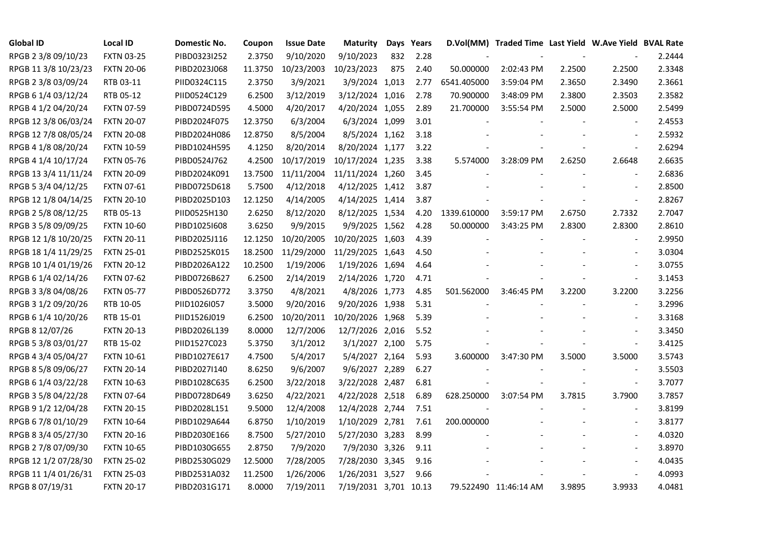| <b>Global ID</b>     | <b>Local ID</b>   | Domestic No. | Coupon  | <b>Issue Date</b> | <b>Maturity</b>       |     | Days Years |             | D.Vol(MM) Traded Time Last Yield W.Ave Yield BVAL Rate |                          |                          |        |
|----------------------|-------------------|--------------|---------|-------------------|-----------------------|-----|------------|-------------|--------------------------------------------------------|--------------------------|--------------------------|--------|
| RPGB 2 3/8 09/10/23  | <b>FXTN 03-25</b> | PIBD0323I252 | 2.3750  | 9/10/2020         | 9/10/2023             | 832 | 2.28       |             |                                                        |                          |                          | 2.2444 |
| RPGB 11 3/8 10/23/23 | <b>FXTN 20-06</b> | PIBD2023J068 | 11.3750 | 10/23/2003        | 10/23/2023            | 875 | 2.40       | 50.000000   | 2:02:43 PM                                             | 2.2500                   | 2.2500                   | 2.3348 |
| RPGB 2 3/8 03/09/24  | RTB 03-11         | PIID0324C115 | 2.3750  | 3/9/2021          | 3/9/2024 1,013        |     | 2.77       | 6541.405000 | 3:59:04 PM                                             | 2.3650                   | 2.3490                   | 2.3661 |
| RPGB 6 1/4 03/12/24  | RTB 05-12         | PIID0524C129 | 6.2500  | 3/12/2019         | 3/12/2024 1,016       |     | 2.78       | 70.900000   | 3:48:09 PM                                             | 2.3800                   | 2.3503                   | 2.3582 |
| RPGB 4 1/2 04/20/24  | <b>FXTN 07-59</b> | PIBD0724D595 | 4.5000  | 4/20/2017         | 4/20/2024 1,055       |     | 2.89       | 21.700000   | 3:55:54 PM                                             | 2.5000                   | 2.5000                   | 2.5499 |
| RPGB 12 3/8 06/03/24 | <b>FXTN 20-07</b> | PIBD2024F075 | 12.3750 | 6/3/2004          | 6/3/2024 1,099        |     | 3.01       |             |                                                        |                          | $\overline{\phantom{a}}$ | 2.4553 |
| RPGB 12 7/8 08/05/24 | <b>FXTN 20-08</b> | PIBD2024H086 | 12.8750 | 8/5/2004          | 8/5/2024 1,162        |     | 3.18       |             |                                                        |                          | $\blacksquare$           | 2.5932 |
| RPGB 4 1/8 08/20/24  | <b>FXTN 10-59</b> | PIBD1024H595 | 4.1250  | 8/20/2014         | 8/20/2024 1,177       |     | 3.22       |             |                                                        |                          | $\sim$                   | 2.6294 |
| RPGB 4 1/4 10/17/24  | <b>FXTN 05-76</b> | PIBD0524J762 | 4.2500  | 10/17/2019        | 10/17/2024 1,235      |     | 3.38       | 5.574000    | 3:28:09 PM                                             | 2.6250                   | 2.6648                   | 2.6635 |
| RPGB 13 3/4 11/11/24 | <b>FXTN 20-09</b> | PIBD2024K091 | 13.7500 | 11/11/2004        | 11/11/2024 1,260      |     | 3.45       |             |                                                        |                          | $\sim$                   | 2.6836 |
| RPGB 5 3/4 04/12/25  | <b>FXTN 07-61</b> | PIBD0725D618 | 5.7500  | 4/12/2018         | 4/12/2025 1,412       |     | 3.87       |             |                                                        |                          | $\overline{a}$           | 2.8500 |
| RPGB 12 1/8 04/14/25 | <b>FXTN 20-10</b> | PIBD2025D103 | 12.1250 | 4/14/2005         | 4/14/2025 1,414       |     | 3.87       |             |                                                        |                          | $\blacksquare$           | 2.8267 |
| RPGB 2 5/8 08/12/25  | RTB 05-13         | PIID0525H130 | 2.6250  | 8/12/2020         | 8/12/2025 1,534       |     | 4.20       | 1339.610000 | 3:59:17 PM                                             | 2.6750                   | 2.7332                   | 2.7047 |
| RPGB 3 5/8 09/09/25  | <b>FXTN 10-60</b> | PIBD10251608 | 3.6250  | 9/9/2015          | 9/9/2025 1,562        |     | 4.28       | 50.000000   | 3:43:25 PM                                             | 2.8300                   | 2.8300                   | 2.8610 |
| RPGB 12 1/8 10/20/25 | <b>FXTN 20-11</b> | PIBD2025J116 | 12.1250 | 10/20/2005        | 10/20/2025 1,603      |     | 4.39       |             |                                                        |                          | $\overline{\phantom{a}}$ | 2.9950 |
| RPGB 18 1/4 11/29/25 | <b>FXTN 25-01</b> | PIBD2525K015 | 18.2500 | 11/29/2000        | 11/29/2025 1,643      |     | 4.50       |             |                                                        |                          |                          | 3.0304 |
| RPGB 10 1/4 01/19/26 | <b>FXTN 20-12</b> | PIBD2026A122 | 10.2500 | 1/19/2006         | 1/19/2026 1,694       |     | 4.64       |             |                                                        |                          | $\overline{\phantom{a}}$ | 3.0755 |
| RPGB 6 1/4 02/14/26  | <b>FXTN 07-62</b> | PIBD0726B627 | 6.2500  | 2/14/2019         | 2/14/2026 1,720       |     | 4.71       |             |                                                        |                          | $\blacksquare$           | 3.1453 |
| RPGB 3 3/8 04/08/26  | <b>FXTN 05-77</b> | PIBD0526D772 | 3.3750  | 4/8/2021          | 4/8/2026 1,773        |     | 4.85       | 501.562000  | 3:46:45 PM                                             | 3.2200                   | 3.2200                   | 3.2256 |
| RPGB 3 1/2 09/20/26  | RTB 10-05         | PIID1026I057 | 3.5000  | 9/20/2016         | 9/20/2026 1,938       |     | 5.31       |             |                                                        |                          | $\overline{\phantom{a}}$ | 3.2996 |
| RPGB 6 1/4 10/20/26  | RTB 15-01         | PIID1526J019 | 6.2500  | 10/20/2011        | 10/20/2026 1,968      |     | 5.39       |             |                                                        |                          | $\blacksquare$           | 3.3168 |
| RPGB 8 12/07/26      | <b>FXTN 20-13</b> | PIBD2026L139 | 8.0000  | 12/7/2006         | 12/7/2026 2,016       |     | 5.52       |             |                                                        |                          | $\sim$                   | 3.3450 |
| RPGB 5 3/8 03/01/27  | RTB 15-02         | PIID1527C023 | 5.3750  | 3/1/2012          | 3/1/2027 2,100        |     | 5.75       |             |                                                        |                          | $\sim$                   | 3.4125 |
| RPGB 4 3/4 05/04/27  | <b>FXTN 10-61</b> | PIBD1027E617 | 4.7500  | 5/4/2017          | 5/4/2027 2,164        |     | 5.93       | 3.600000    | 3:47:30 PM                                             | 3.5000                   | 3.5000                   | 3.5743 |
| RPGB 8 5/8 09/06/27  | <b>FXTN 20-14</b> | PIBD2027I140 | 8.6250  | 9/6/2007          | 9/6/2027 2,289        |     | 6.27       |             |                                                        | $\overline{\phantom{a}}$ | $\overline{\phantom{a}}$ | 3.5503 |
| RPGB 6 1/4 03/22/28  | <b>FXTN 10-63</b> | PIBD1028C635 | 6.2500  | 3/22/2018         | 3/22/2028 2,487       |     | 6.81       |             |                                                        |                          | $\blacksquare$           | 3.7077 |
| RPGB 3 5/8 04/22/28  | <b>FXTN 07-64</b> | PIBD0728D649 | 3.6250  | 4/22/2021         | 4/22/2028 2,518       |     | 6.89       | 628.250000  | 3:07:54 PM                                             | 3.7815                   | 3.7900                   | 3.7857 |
| RPGB 9 1/2 12/04/28  | <b>FXTN 20-15</b> | PIBD2028L151 | 9.5000  | 12/4/2008         | 12/4/2028 2,744       |     | 7.51       |             |                                                        |                          | $\overline{\phantom{a}}$ | 3.8199 |
| RPGB 6 7/8 01/10/29  | <b>FXTN 10-64</b> | PIBD1029A644 | 6.8750  | 1/10/2019         | 1/10/2029 2,781       |     | 7.61       | 200.000000  |                                                        |                          | $\blacksquare$           | 3.8177 |
| RPGB 8 3/4 05/27/30  | <b>FXTN 20-16</b> | PIBD2030E166 | 8.7500  | 5/27/2010         | 5/27/2030 3,283       |     | 8.99       |             |                                                        |                          |                          | 4.0320 |
| RPGB 2 7/8 07/09/30  | <b>FXTN 10-65</b> | PIBD1030G655 | 2.8750  | 7/9/2020          | 7/9/2030 3,326        |     | 9.11       |             |                                                        |                          | $\blacksquare$           | 3.8970 |
| RPGB 12 1/2 07/28/30 | <b>FXTN 25-02</b> | PIBD2530G029 | 12.5000 | 7/28/2005         | 7/28/2030 3,345       |     | 9.16       |             |                                                        |                          | $\overline{a}$           | 4.0435 |
| RPGB 11 1/4 01/26/31 | <b>FXTN 25-03</b> | PIBD2531A032 | 11.2500 | 1/26/2006         | 1/26/2031 3,527       |     | 9.66       |             |                                                        |                          | $\sim$                   | 4.0993 |
| RPGB 8 07/19/31      | <b>FXTN 20-17</b> | PIBD2031G171 | 8.0000  | 7/19/2011         | 7/19/2031 3,701 10.13 |     |            |             | 79.522490 11:46:14 AM                                  | 3.9895                   | 3.9933                   | 4.0481 |